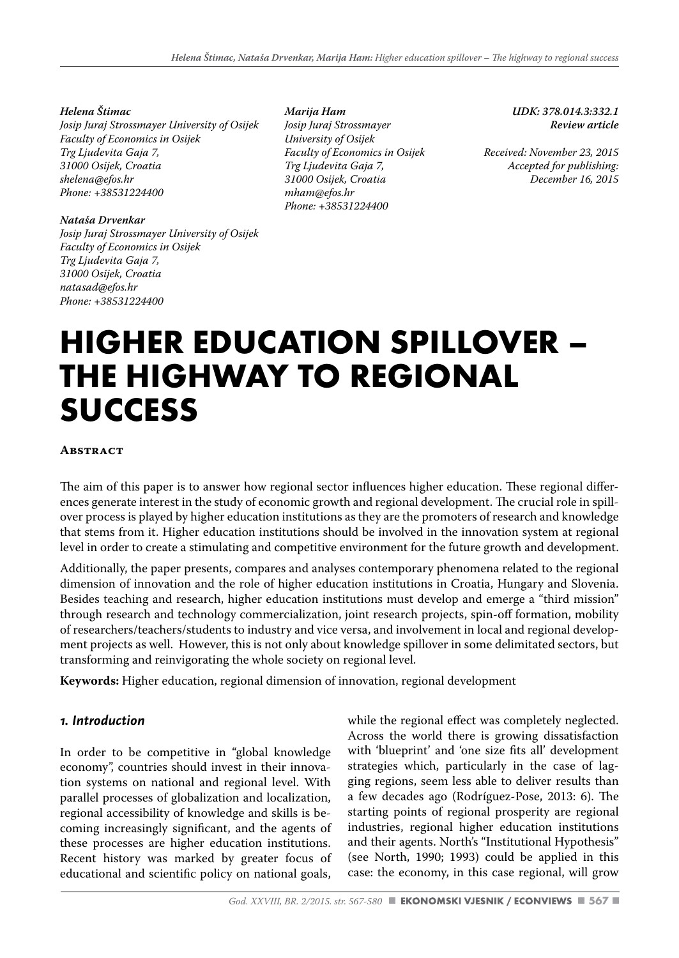#### *Helena Štimac*

*Josip Juraj Strossmayer University of Osijek Faculty of Economics in Osijek Trg Ljudevita Gaja 7, 31000 Osijek, Croatia shelena@efos.hr Phone: +38531224400*

#### *Nataša Drvenkar*

*Josip Juraj Strossmayer University of Osijek Faculty of Economics in Osijek Trg Ljudevita Gaja 7, 31000 Osijek, Croatia natasad@efos.hr Phone: +38531224400* 

*Marija Ham Josip Juraj Strossmayer University of Osijek Faculty of Economics in Osijek Trg Ljudevita Gaja 7, 31000 Osijek, Croatia mham@efos.hr Phone: +38531224400*

*UDK: 378.014.3:332.1 Review article* 

*Received: November 23, 2015 Accepted for publishing: December 16, 2015*

# **HIGHER EDUCATION SPILLOVER – THE HIGHWAY TO REGIONAL SUCCESS**

#### **Abstract**

The aim of this paper is to answer how regional sector influences higher education. These regional differences generate interest in the study of economic growth and regional development. The crucial role in spillover process is played by higher education institutions as they are the promoters of research and knowledge that stems from it. Higher education institutions should be involved in the innovation system at regional level in order to create a stimulating and competitive environment for the future growth and development.

Additionally, the paper presents, compares and analyses contemporary phenomena related to the regional dimension of innovation and the role of higher education institutions in Croatia, Hungary and Slovenia. Besides teaching and research, higher education institutions must develop and emerge a "third mission" through research and technology commercialization, joint research projects, spin-off formation, mobility of researchers/teachers/students to industry and vice versa, and involvement in local and regional development projects as well. However, this is not only about knowledge spillover in some delimitated sectors, but transforming and reinvigorating the whole society on regional level.

**Keywords:** Higher education, regional dimension of innovation, regional development

# *1. Introduction*

In order to be competitive in "global knowledge economy", countries should invest in their innovation systems on national and regional level. With parallel processes of globalization and localization, regional accessibility of knowledge and skills is becoming increasingly significant, and the agents of these processes are higher education institutions. Recent history was marked by greater focus of educational and scientific policy on national goals, while the regional effect was completely neglected. Across the world there is growing dissatisfaction with 'blueprint' and 'one size fits all' development strategies which, particularly in the case of lagging regions, seem less able to deliver results than a few decades ago (Rodríguez-Pose, 2013: 6). The starting points of regional prosperity are regional industries, regional higher education institutions and their agents. North's "Institutional Hypothesis" (see North, 1990; 1993) could be applied in this case: the economy, in this case regional, will grow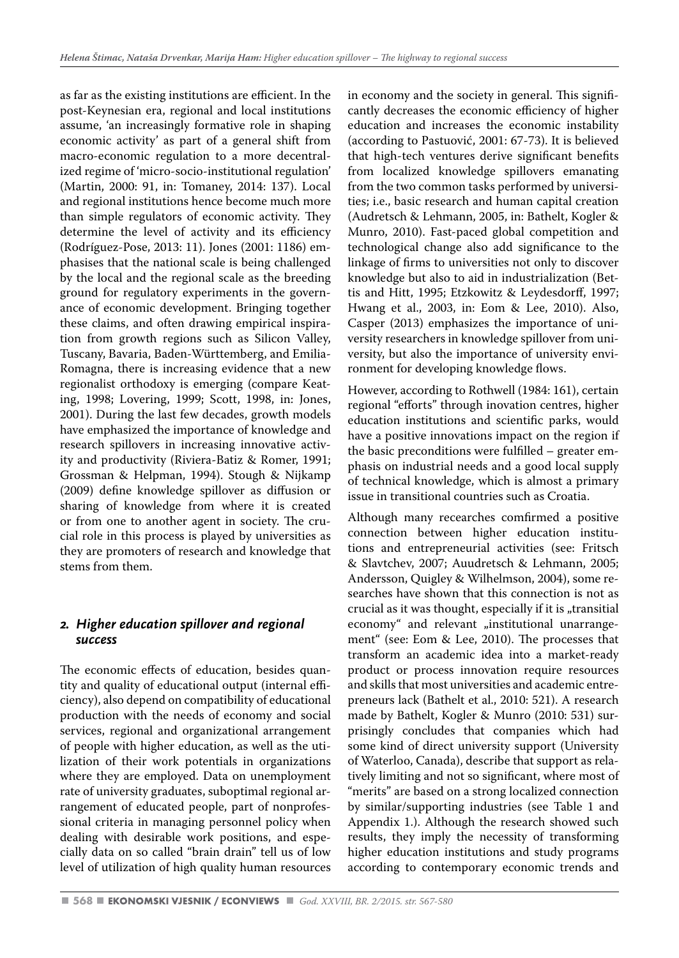as far as the existing institutions are efficient. In the post-Keynesian era, regional and local institutions assume, 'an increasingly formative role in shaping economic activity' as part of a general shift from macro-economic regulation to a more decentralized regime of 'micro-socio-institutional regulation' (Martin, 2000: 91, in: Tomaney, 2014: 137). Local and regional institutions hence become much more than simple regulators of economic activity. They determine the level of activity and its efficiency (Rodríguez-Pose, 2013: 11). Jones (2001: 1186) emphasises that the national scale is being challenged by the local and the regional scale as the breeding ground for regulatory experiments in the governance of economic development. Bringing together these claims, and often drawing empirical inspiration from growth regions such as Silicon Valley, Tuscany, Bavaria, Baden-Württemberg, and Emilia-Romagna, there is increasing evidence that a new regionalist orthodoxy is emerging (compare Keating, 1998; Lovering, 1999; Scott, 1998, in: Jones, 2001). During the last few decades, growth models have emphasized the importance of knowledge and research spillovers in increasing innovative activity and productivity (Riviera-Batiz & Romer, 1991; Grossman & Helpman, 1994). Stough & Nijkamp (2009) define knowledge spillover as diffusion or sharing of knowledge from where it is created or from one to another agent in society. The crucial role in this process is played by universities as they are promoters of research and knowledge that stems from them.

# *2. Higher education spillover and regional success*

The economic effects of education, besides quantity and quality of educational output (internal efficiency), also depend on compatibility of educational production with the needs of economy and social services, regional and organizational arrangement of people with higher education, as well as the utilization of their work potentials in organizations where they are employed. Data on unemployment rate of university graduates, suboptimal regional arrangement of educated people, part of nonprofessional criteria in managing personnel policy when dealing with desirable work positions, and especially data on so called "brain drain" tell us of low level of utilization of high quality human resources

in economy and the society in general. This significantly decreases the economic efficiency of higher education and increases the economic instability (according to Pastuović, 2001: 67-73). It is believed that high-tech ventures derive significant benefits from localized knowledge spillovers emanating from the two common tasks performed by universities; i.e., basic research and human capital creation (Audretsch & Lehmann, 2005, in: Bathelt, Kogler & Munro, 2010). Fast-paced global competition and technological change also add significance to the linkage of firms to universities not only to discover knowledge but also to aid in industrialization (Bettis and Hitt, 1995; Etzkowitz & Leydesdorff, 1997; Hwang et al., 2003, in: Eom & Lee, 2010). Also, Casper (2013) emphasizes the importance of university researchers in knowledge spillover from university, but also the importance of university environment for developing knowledge flows.

However, according to Rothwell (1984: 161), certain regional "efforts" through inovation centres, higher education institutions and scientific parks, would have a positive innovations impact on the region if the basic preconditions were fulfilled – greater emphasis on industrial needs and a good local supply of technical knowledge, which is almost a primary issue in transitional countries such as Croatia.

Although many recearches comfirmed a positive connection between higher education institutions and entrepreneurial activities (see: Fritsch & Slavtchev, 2007; Auudretsch & Lehmann, 2005; Andersson, Quigley & Wilhelmson, 2004), some researches have shown that this connection is not as crucial as it was thought, especially if it is "transitial economy" and relevant "institutional unarrangement" (see: Eom & Lee, 2010). The processes that transform an academic idea into a market-ready product or process innovation require resources and skills that most universities and academic entrepreneurs lack (Bathelt et al., 2010: 521). A research made by Bathelt, Kogler & Munro (2010: 531) surprisingly concludes that companies which had some kind of direct university support (University of Waterloo, Canada), describe that support as relatively limiting and not so significant, where most of "merits" are based on a strong localized connection by similar/supporting industries (see Table 1 and Appendix 1.). Although the research showed such results, they imply the necessity of transforming higher education institutions and study programs according to contemporary economic trends and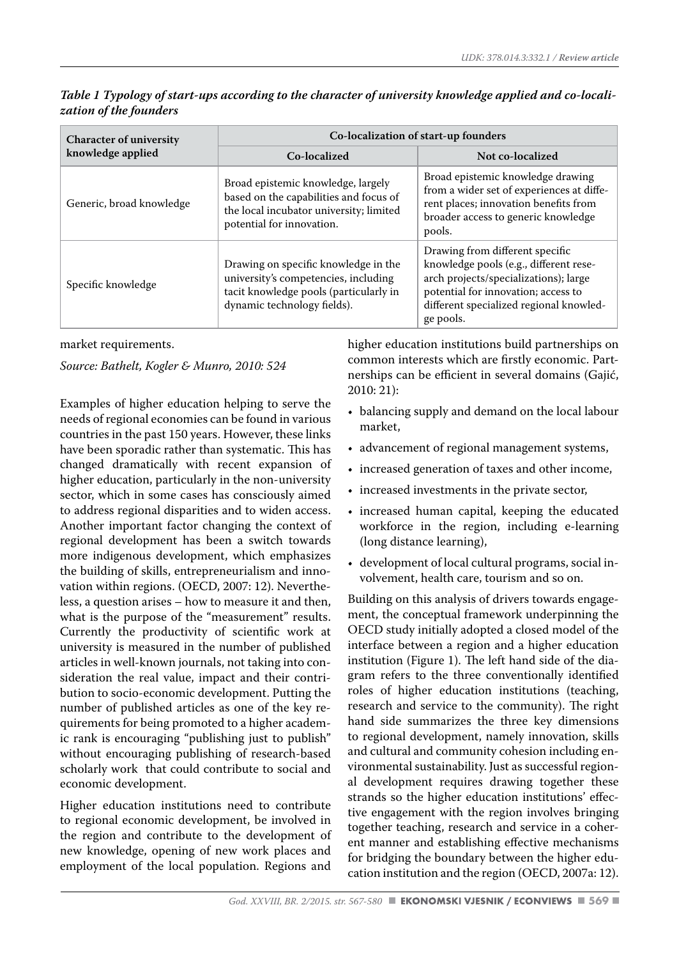| <b>Character of university</b><br>knowledge applied | Co-localization of start-up founders                                                                                                                  |                                                                                                                                                                                                                   |  |
|-----------------------------------------------------|-------------------------------------------------------------------------------------------------------------------------------------------------------|-------------------------------------------------------------------------------------------------------------------------------------------------------------------------------------------------------------------|--|
|                                                     | Co-localized                                                                                                                                          | Not co-localized                                                                                                                                                                                                  |  |
| Generic, broad knowledge                            | Broad epistemic knowledge, largely<br>based on the capabilities and focus of<br>the local incubator university; limited<br>potential for innovation.  | Broad epistemic knowledge drawing<br>from a wider set of experiences at diffe-<br>rent places; innovation benefits from<br>broader access to generic knowledge<br>pools.                                          |  |
| Specific knowledge                                  | Drawing on specific knowledge in the<br>university's competencies, including<br>tacit knowledge pools (particularly in<br>dynamic technology fields). | Drawing from different specific<br>knowledge pools (e.g., different rese-<br>arch projects/specializations); large<br>potential for innovation; access to<br>different specialized regional knowled-<br>ge pools. |  |

*Table 1 Typology of start-ups according to the character of university knowledge applied and co-localization of the founders*

market requirements.

*Source: Bathelt, Kogler & Munro, 2010: 524*

Examples of higher education helping to serve the needs of regional economies can be found in various countries in the past 150 years. However, these links have been sporadic rather than systematic. This has changed dramatically with recent expansion of higher education, particularly in the non-university sector, which in some cases has consciously aimed to address regional disparities and to widen access. Another important factor changing the context of regional development has been a switch towards more indigenous development, which emphasizes the building of skills, entrepreneurialism and innovation within regions. (OECD, 2007: 12). Nevertheless, a question arises – how to measure it and then, what is the purpose of the "measurement" results. Currently the productivity of scientific work at university is measured in the number of published articles in well-known journals, not taking into consideration the real value, impact and their contribution to socio-economic development. Putting the number of published articles as one of the key requirements for being promoted to a higher academic rank is encouraging "publishing just to publish" without encouraging publishing of research-based scholarly work that could contribute to social and economic development.

Higher education institutions need to contribute to regional economic development, be involved in the region and contribute to the development of new knowledge, opening of new work places and employment of the local population. Regions and higher education institutions build partnerships on common interests which are firstly economic. Partnerships can be efficient in several domains (Gajić, 2010: 21):

- balancing supply and demand on the local labour market,
- advancement of regional management systems,
- increased generation of taxes and other income,
- increased investments in the private sector,
- increased human capital, keeping the educated workforce in the region, including e-learning (long distance learning),
- development of local cultural programs, social involvement, health care, tourism and so on.

Building on this analysis of drivers towards engagement, the conceptual framework underpinning the OECD study initially adopted a closed model of the interface between a region and a higher education institution (Figure 1). The left hand side of the diagram refers to the three conventionally identified roles of higher education institutions (teaching, research and service to the community). The right hand side summarizes the three key dimensions to regional development, namely innovation, skills and cultural and community cohesion including environmental sustainability. Just as successful regional development requires drawing together these strands so the higher education institutions' effective engagement with the region involves bringing together teaching, research and service in a coherent manner and establishing effective mechanisms for bridging the boundary between the higher education institution and the region (OECD, 2007a: 12).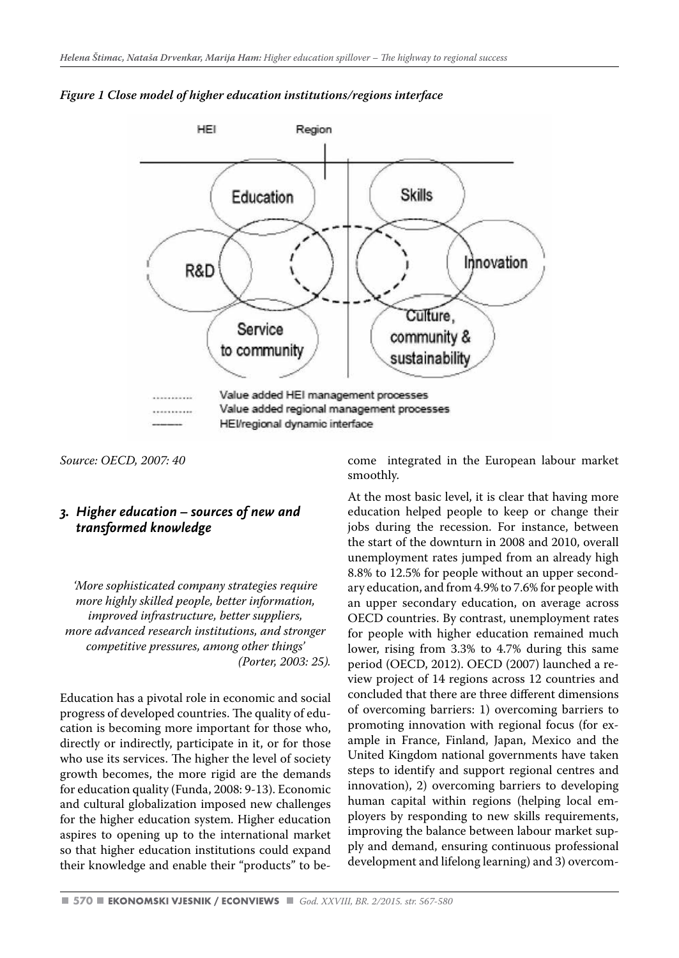

#### *Figure 1 Close model of higher education institutions/regions interface*

*Source: OECD, 2007: 40* 

# *3. Higher education – sources of new and transformed knowledge*

*'More sophisticated company strategies require more highly skilled people, better information, improved infrastructure, better suppliers, more advanced research institutions, and stronger competitive pressures, among other things' (Porter, 2003: 25).*

Education has a pivotal role in economic and social progress of developed countries. The quality of education is becoming more important for those who, directly or indirectly, participate in it, or for those who use its services. The higher the level of society growth becomes, the more rigid are the demands for education quality (Funda, 2008: 9-13). Economic and cultural globalization imposed new challenges for the higher education system. Higher education aspires to opening up to the international market so that higher education institutions could expand their knowledge and enable their "products" to become integrated in the European labour market smoothly.

At the most basic level, it is clear that having more education helped people to keep or change their jobs during the recession. For instance, between the start of the downturn in 2008 and 2010, overall unemployment rates jumped from an already high 8.8% to 12.5% for people without an upper secondary education, and from 4.9% to 7.6% for people with an upper secondary education, on average across OECD countries. By contrast, unemployment rates for people with higher education remained much lower, rising from 3.3% to 4.7% during this same period (OECD, 2012). OECD (2007) launched a review project of 14 regions across 12 countries and concluded that there are three different dimensions of overcoming barriers: 1) overcoming barriers to promoting innovation with regional focus (for example in France, Finland, Japan, Mexico and the United Kingdom national governments have taken steps to identify and support regional centres and innovation), 2) overcoming barriers to developing human capital within regions (helping local employers by responding to new skills requirements, improving the balance between labour market supply and demand, ensuring continuous professional development and lifelong learning) and 3) overcom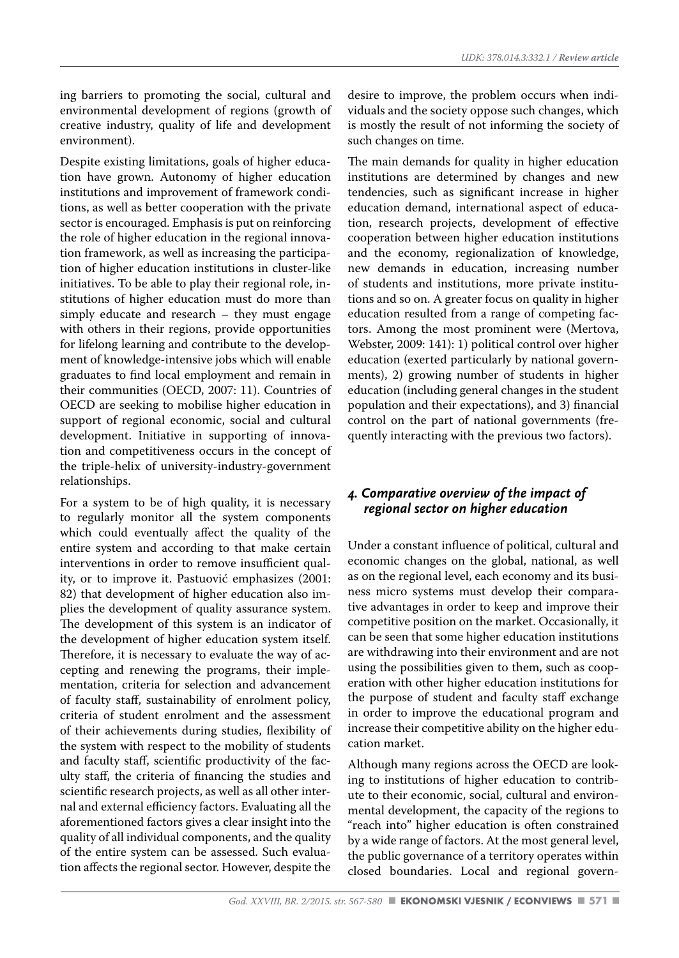ing barriers to promoting the social, cultural and environmental development of regions (growth of creative industry, quality of life and development environment).

Despite existing limitations, goals of higher education have grown. Autonomy of higher education institutions and improvement of framework conditions, as well as better cooperation with the private sector is encouraged. Emphasis is put on reinforcing the role of higher education in the regional innovation framework, as well as increasing the participation of higher education institutions in cluster-like initiatives. To be able to play their regional role, institutions of higher education must do more than simply educate and research – they must engage with others in their regions, provide opportunities for lifelong learning and contribute to the development of knowledge-intensive jobs which will enable graduates to find local employment and remain in their communities (OECD, 2007: 11). Countries of OECD are seeking to mobilise higher education in support of regional economic, social and cultural development. Initiative in supporting of innovation and competitiveness occurs in the concept of the triple-helix of university-industry-government relationships.

For a system to be of high quality, it is necessary to regularly monitor all the system components which could eventually affect the quality of the entire system and according to that make certain interventions in order to remove insufficient quality, or to improve it. Pastuović emphasizes (2001: 82) that development of higher education also implies the development of quality assurance system. The development of this system is an indicator of the development of higher education system itself. Therefore, it is necessary to evaluate the way of accepting and renewing the programs, their implementation, criteria for selection and advancement of faculty staff, sustainability of enrolment policy, criteria of student enrolment and the assessment of their achievements during studies, flexibility of the system with respect to the mobility of students and faculty staff, scientific productivity of the faculty staff, the criteria of financing the studies and scientific research projects, as well as all other internal and external efficiency factors. Evaluating all the aforementioned factors gives a clear insight into the quality of all individual components, and the quality of the entire system can be assessed. Such evaluation affects the regional sector. However, despite the desire to improve, the problem occurs when individuals and the society oppose such changes, which is mostly the result of not informing the society of such changes on time.

The main demands for quality in higher education institutions are determined by changes and new tendencies, such as significant increase in higher education demand, international aspect of education, research projects, development of effective cooperation between higher education institutions and the economy, regionalization of knowledge, new demands in education, increasing number of students and institutions, more private institutions and so on. A greater focus on quality in higher education resulted from a range of competing factors. Among the most prominent were (Mertova, Webster, 2009: 141): 1) political control over higher education (exerted particularly by national governments), 2) growing number of students in higher education (including general changes in the student population and their expectations), and 3) financial control on the part of national governments (frequently interacting with the previous two factors).

# *4. Comparative overview of the impact of regional sector on higher education*

Under a constant influence of political, cultural and economic changes on the global, national, as well as on the regional level, each economy and its business micro systems must develop their comparative advantages in order to keep and improve their competitive position on the market. Occasionally, it can be seen that some higher education institutions are withdrawing into their environment and are not using the possibilities given to them, such as cooperation with other higher education institutions for the purpose of student and faculty staff exchange in order to improve the educational program and increase their competitive ability on the higher education market.

Although many regions across the OECD are looking to institutions of higher education to contribute to their economic, social, cultural and environmental development, the capacity of the regions to "reach into" higher education is often constrained by a wide range of factors. At the most general level, the public governance of a territory operates within closed boundaries. Local and regional govern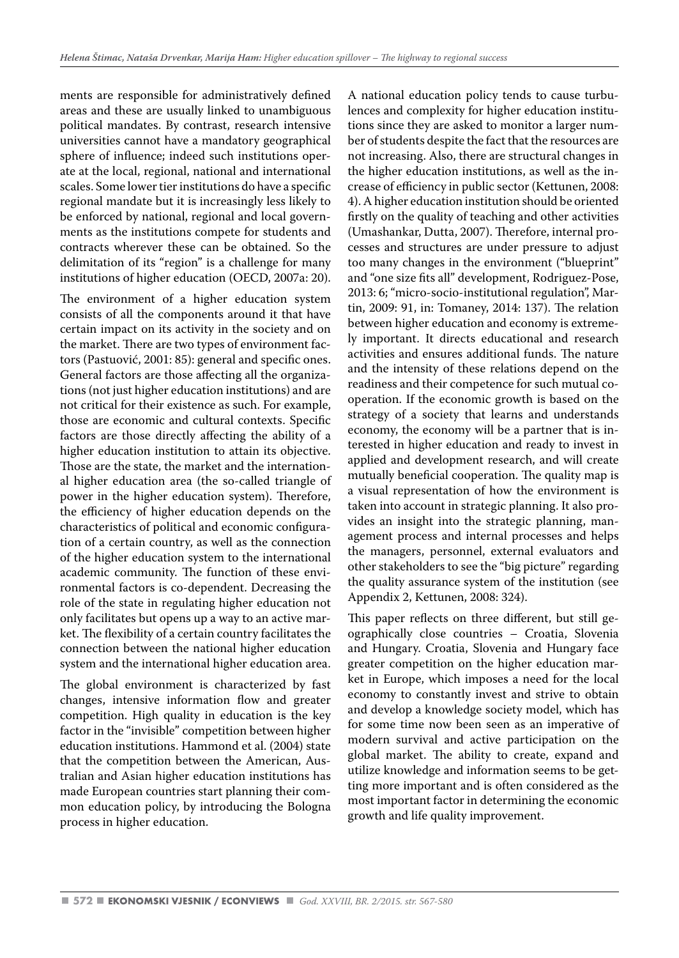ments are responsible for administratively defined areas and these are usually linked to unambiguous political mandates. By contrast, research intensive universities cannot have a mandatory geographical sphere of influence; indeed such institutions operate at the local, regional, national and international scales. Some lower tier institutions do have a specific regional mandate but it is increasingly less likely to be enforced by national, regional and local governments as the institutions compete for students and contracts wherever these can be obtained. So the delimitation of its "region" is a challenge for many institutions of higher education (OECD, 2007a: 20).

The environment of a higher education system consists of all the components around it that have certain impact on its activity in the society and on the market. There are two types of environment factors (Pastuović, 2001: 85): general and specific ones. General factors are those affecting all the organizations (not just higher education institutions) and are not critical for their existence as such. For example, those are economic and cultural contexts. Specific factors are those directly affecting the ability of a higher education institution to attain its objective. Those are the state, the market and the international higher education area (the so-called triangle of power in the higher education system). Therefore, the efficiency of higher education depends on the characteristics of political and economic configuration of a certain country, as well as the connection of the higher education system to the international academic community. The function of these environmental factors is co-dependent. Decreasing the role of the state in regulating higher education not only facilitates but opens up a way to an active market. The flexibility of a certain country facilitates the connection between the national higher education system and the international higher education area.

The global environment is characterized by fast changes, intensive information flow and greater competition. High quality in education is the key factor in the "invisible" competition between higher education institutions. Hammond et al. (2004) state that the competition between the American, Australian and Asian higher education institutions has made European countries start planning their common education policy, by introducing the Bologna process in higher education.

A national education policy tends to cause turbulences and complexity for higher education institutions since they are asked to monitor a larger number of students despite the fact that the resources are not increasing. Also, there are structural changes in the higher education institutions, as well as the increase of efficiency in public sector (Kettunen, 2008: 4). A higher education institution should be oriented firstly on the quality of teaching and other activities (Umashankar, Dutta, 2007). Therefore, internal processes and structures are under pressure to adjust too many changes in the environment ("blueprint" and "one size fits all" development, Rodriguez-Pose, 2013: 6; "micro-socio-institutional regulation", Martin, 2009: 91, in: Tomaney, 2014: 137). The relation between higher education and economy is extremely important. It directs educational and research activities and ensures additional funds. The nature and the intensity of these relations depend on the readiness and their competence for such mutual cooperation. If the economic growth is based on the strategy of a society that learns and understands economy, the economy will be a partner that is interested in higher education and ready to invest in applied and development research, and will create mutually beneficial cooperation. The quality map is a visual representation of how the environment is taken into account in strategic planning. It also provides an insight into the strategic planning, management process and internal processes and helps the managers, personnel, external evaluators and other stakeholders to see the "big picture" regarding the quality assurance system of the institution (see Appendix 2, Kettunen, 2008: 324).

This paper reflects on three different, but still geographically close countries – Croatia, Slovenia and Hungary. Croatia, Slovenia and Hungary face greater competition on the higher education market in Europe, which imposes a need for the local economy to constantly invest and strive to obtain and develop a knowledge society model, which has for some time now been seen as an imperative of modern survival and active participation on the global market. The ability to create, expand and utilize knowledge and information seems to be getting more important and is often considered as the most important factor in determining the economic growth and life quality improvement.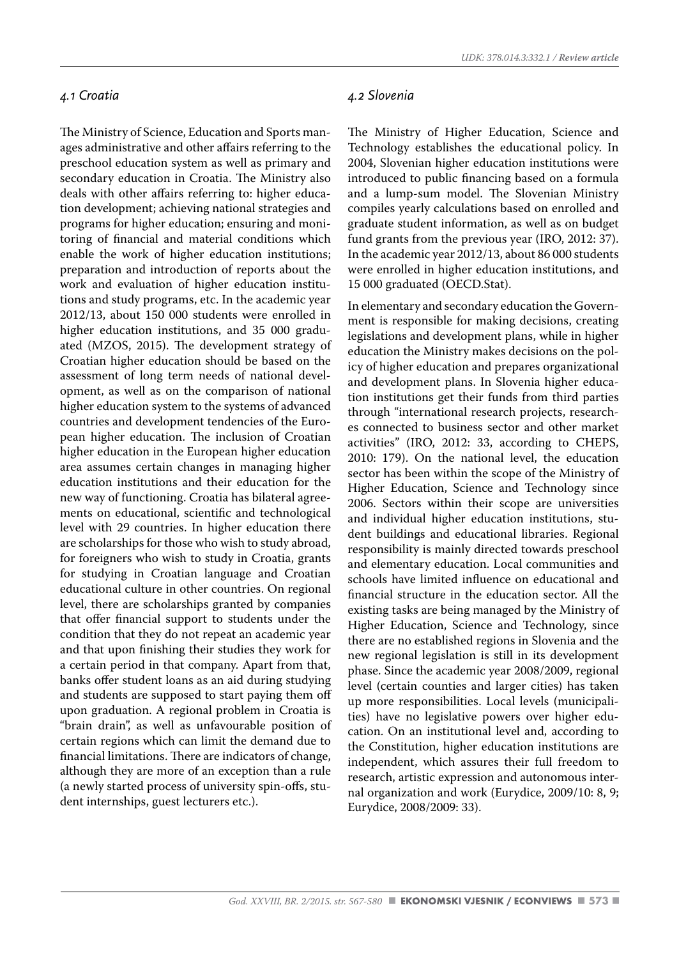#### *4.1 Croatia*

The Ministry of Science, Education and Sports manages administrative and other affairs referring to the preschool education system as well as primary and secondary education in Croatia. The Ministry also deals with other affairs referring to: higher education development; achieving national strategies and programs for higher education; ensuring and monitoring of financial and material conditions which enable the work of higher education institutions; preparation and introduction of reports about the work and evaluation of higher education institutions and study programs, etc. In the academic year 2012/13, about 150 000 students were enrolled in higher education institutions, and 35 000 graduated (MZOS, 2015). The development strategy of Croatian higher education should be based on the assessment of long term needs of national development, as well as on the comparison of national higher education system to the systems of advanced countries and development tendencies of the European higher education. The inclusion of Croatian higher education in the European higher education area assumes certain changes in managing higher education institutions and their education for the new way of functioning. Croatia has bilateral agreements on educational, scientific and technological level with 29 countries. In higher education there are scholarships for those who wish to study abroad, for foreigners who wish to study in Croatia, grants for studying in Croatian language and Croatian educational culture in other countries. On regional level, there are scholarships granted by companies that offer financial support to students under the condition that they do not repeat an academic year and that upon finishing their studies they work for a certain period in that company. Apart from that, banks offer student loans as an aid during studying and students are supposed to start paying them off upon graduation. A regional problem in Croatia is "brain drain", as well as unfavourable position of certain regions which can limit the demand due to financial limitations. There are indicators of change, although they are more of an exception than a rule (a newly started process of university spin-offs, student internships, guest lecturers etc.).

#### *4.2 Slovenia*

The Ministry of Higher Education, Science and Technology establishes the educational policy. In 2004, Slovenian higher education institutions were introduced to public financing based on a formula and a lump-sum model. The Slovenian Ministry compiles yearly calculations based on enrolled and graduate student information, as well as on budget fund grants from the previous year (IRO, 2012: 37). In the academic year 2012/13, about 86 000 students were enrolled in higher education institutions, and 15 000 graduated (OECD.Stat).

In elementary and secondary education the Government is responsible for making decisions, creating legislations and development plans, while in higher education the Ministry makes decisions on the policy of higher education and prepares organizational and development plans. In Slovenia higher education institutions get their funds from third parties through "international research projects, researches connected to business sector and other market activities" (IRO, 2012: 33, according to CHEPS, 2010: 179). On the national level, the education sector has been within the scope of the Ministry of Higher Education, Science and Technology since 2006. Sectors within their scope are universities and individual higher education institutions, student buildings and educational libraries. Regional responsibility is mainly directed towards preschool and elementary education. Local communities and schools have limited influence on educational and financial structure in the education sector. All the existing tasks are being managed by the Ministry of Higher Education, Science and Technology, since there are no established regions in Slovenia and the new regional legislation is still in its development phase. Since the academic year 2008/2009, regional level (certain counties and larger cities) has taken up more responsibilities. Local levels (municipalities) have no legislative powers over higher education. On an institutional level and, according to the Constitution, higher education institutions are independent, which assures their full freedom to research, artistic expression and autonomous internal organization and work (Eurydice, 2009/10: 8, 9; Eurydice, 2008/2009: 33).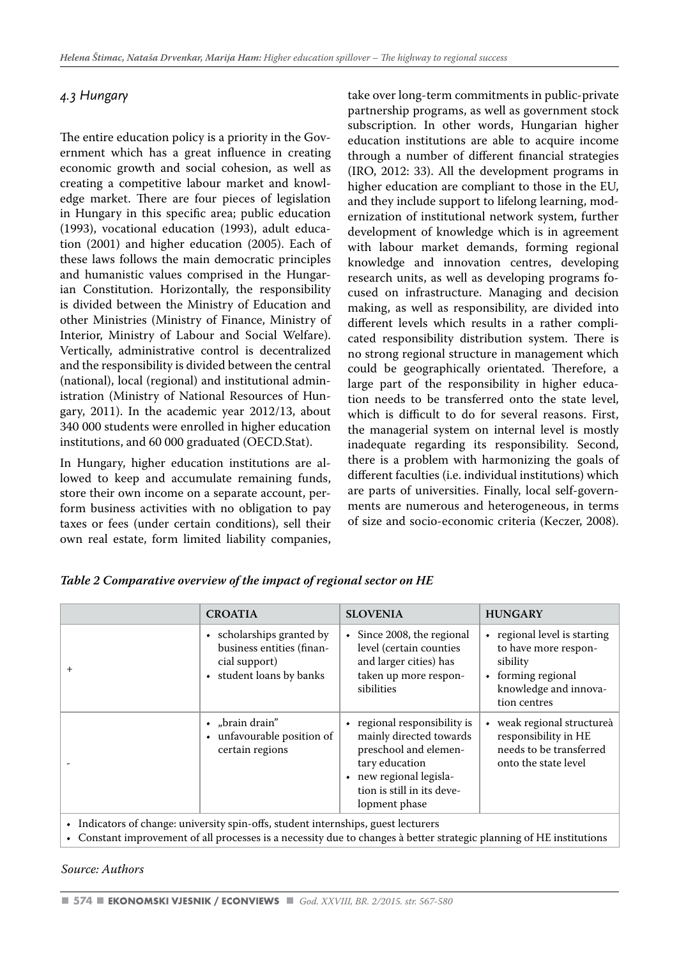# *4.3 Hungary*

The entire education policy is a priority in the Government which has a great influence in creating economic growth and social cohesion, as well as creating a competitive labour market and knowledge market. There are four pieces of legislation in Hungary in this specific area; public education (1993), vocational education (1993), adult education (2001) and higher education (2005). Each of these laws follows the main democratic principles and humanistic values comprised in the Hungarian Constitution. Horizontally, the responsibility is divided between the Ministry of Education and other Ministries (Ministry of Finance, Ministry of Interior, Ministry of Labour and Social Welfare). Vertically, administrative control is decentralized and the responsibility is divided between the central (national), local (regional) and institutional administration (Ministry of National Resources of Hungary, 2011). In the academic year 2012/13, about 340 000 students were enrolled in higher education institutions, and 60 000 graduated (OECD.Stat).

In Hungary, higher education institutions are allowed to keep and accumulate remaining funds, store their own income on a separate account, perform business activities with no obligation to pay taxes or fees (under certain conditions), sell their own real estate, form limited liability companies,

take over long-term commitments in public-private partnership programs, as well as government stock subscription. In other words, Hungarian higher education institutions are able to acquire income through a number of different financial strategies (IRO, 2012: 33). All the development programs in higher education are compliant to those in the EU, and they include support to lifelong learning, modernization of institutional network system, further development of knowledge which is in agreement with labour market demands, forming regional knowledge and innovation centres, developing research units, as well as developing programs focused on infrastructure. Managing and decision making, as well as responsibility, are divided into different levels which results in a rather complicated responsibility distribution system. There is no strong regional structure in management which could be geographically orientated. Therefore, a large part of the responsibility in higher education needs to be transferred onto the state level, which is difficult to do for several reasons. First, the managerial system on internal level is mostly inadequate regarding its responsibility. Second, there is a problem with harmonizing the goals of different faculties (i.e. individual institutions) which are parts of universities. Finally, local self-governments are numerous and heterogeneous, in terms of size and socio-economic criteria (Keczer, 2008).

|           | <b>CROATIA</b>                                                                                      | <b>SLOVENIA</b>                                                                                                                                                            | <b>HUNGARY</b>                                                                                                                                |
|-----------|-----------------------------------------------------------------------------------------------------|----------------------------------------------------------------------------------------------------------------------------------------------------------------------------|-----------------------------------------------------------------------------------------------------------------------------------------------|
| $\ddot{}$ | • scholarships granted by<br>business entities (finan-<br>cial support)<br>• student loans by banks | $\bullet$ Since 2008, the regional<br>level (certain counties<br>and larger cities) has<br>taken up more respon-<br>sibilities                                             | regional level is starting<br>$\bullet$<br>to have more respon-<br>sibility<br>forming regional<br>۰<br>knowledge and innova-<br>tion centres |
|           | • "brain drain"<br>• unfavourable position of<br>certain regions                                    | • regional responsibility is<br>mainly directed towards<br>preschool and elemen-<br>tary education<br>new regional legisla-<br>tion is still in its deve-<br>lopment phase | weak regional structureà<br>responsibility in HE<br>needs to be transferred<br>onto the state level                                           |

*Table 2 Comparative overview of the impact of regional sector on HE*

• Indicators of change: university spin-offs, student internships, guest lecturers

• Constant improvement of all processes is a necessity due to changes à better strategic planning of HE institutions

*Source: Authors*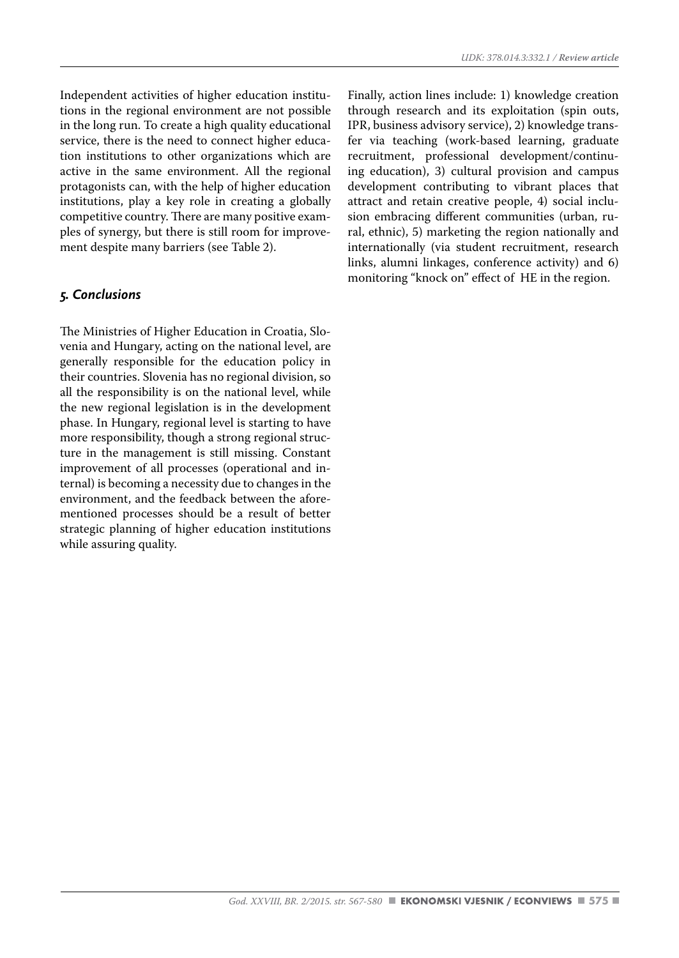Independent activities of higher education institutions in the regional environment are not possible in the long run. To create a high quality educational service, there is the need to connect higher education institutions to other organizations which are active in the same environment. All the regional protagonists can, with the help of higher education institutions, play a key role in creating a globally competitive country. There are many positive examples of synergy, but there is still room for improvement despite many barriers (see Table 2).

# *5. Conclusions*

The Ministries of Higher Education in Croatia, Slovenia and Hungary, acting on the national level, are generally responsible for the education policy in their countries. Slovenia has no regional division, so all the responsibility is on the national level, while the new regional legislation is in the development phase. In Hungary, regional level is starting to have more responsibility, though a strong regional structure in the management is still missing. Constant improvement of all processes (operational and internal) is becoming a necessity due to changes in the environment, and the feedback between the aforementioned processes should be a result of better strategic planning of higher education institutions while assuring quality.

Finally, action lines include: 1) knowledge creation through research and its exploitation (spin outs, IPR, business advisory service), 2) knowledge transfer via teaching (work-based learning, graduate recruitment, professional development/continuing education), 3) cultural provision and campus development contributing to vibrant places that attract and retain creative people, 4) social inclusion embracing different communities (urban, rural, ethnic), 5) marketing the region nationally and internationally (via student recruitment, research links, alumni linkages, conference activity) and 6) monitoring "knock on" effect of HE in the region.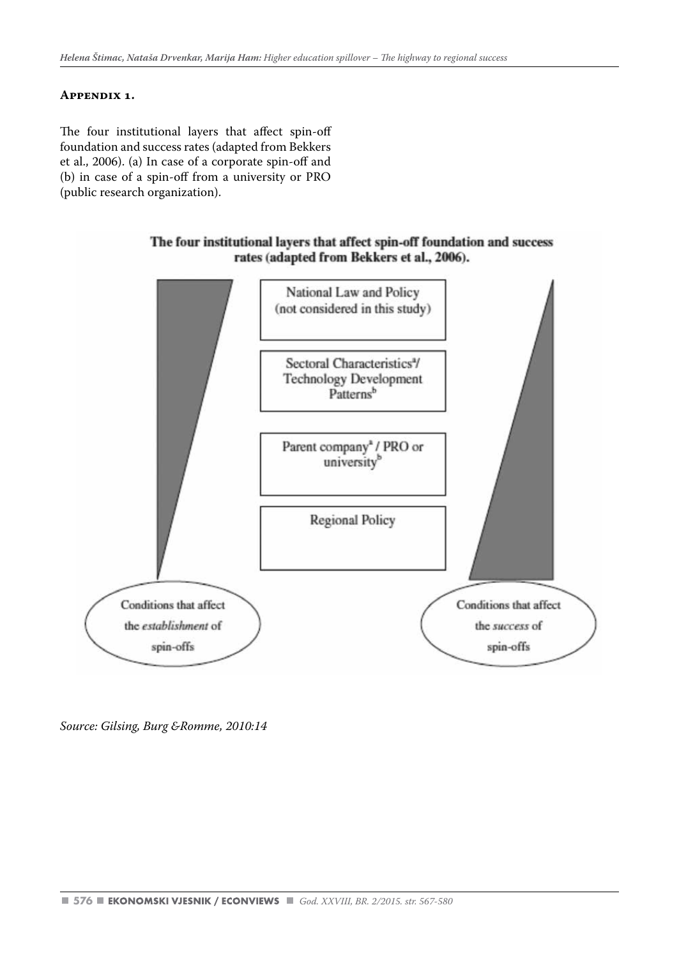#### **Appendix 1.**

The four institutional layers that affect spin-off foundation and success rates (adapted from Bekkers et al., 2006). (a) In case of a corporate spin-off and (b) in case of a spin-off from a university or PRO (public research organization).

#### The four institutional layers that affect spin-off foundation and success rates (adapted from Bekkers et al., 2006).



*Source: Gilsing, Burg &Romme, 2010:14*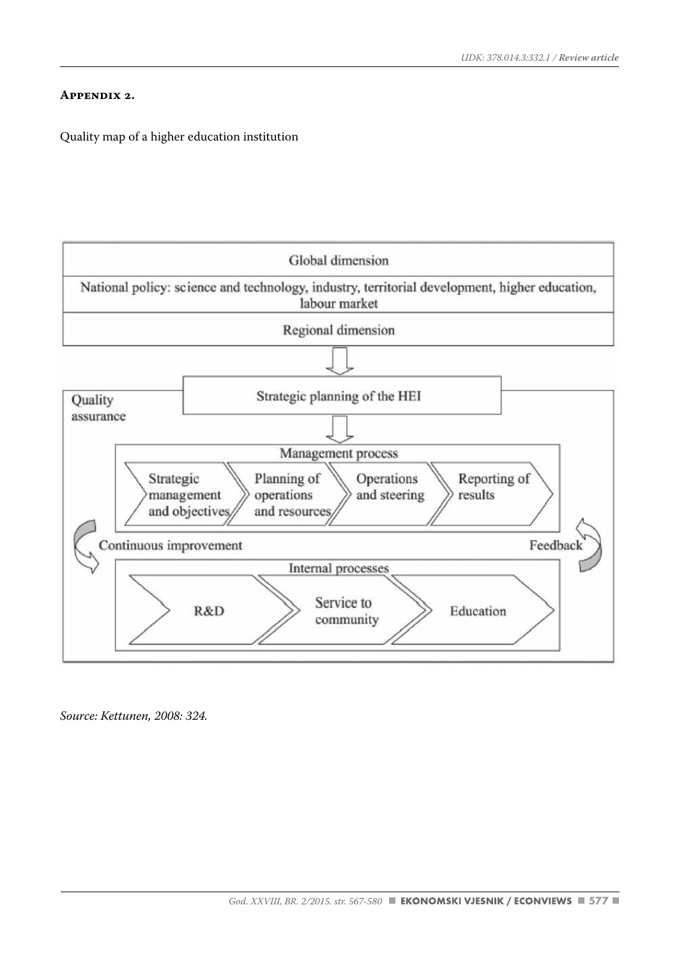#### **Appendix 2.**

Quality map of a higher education institution



*Source: Kettunen, 2008: 324.*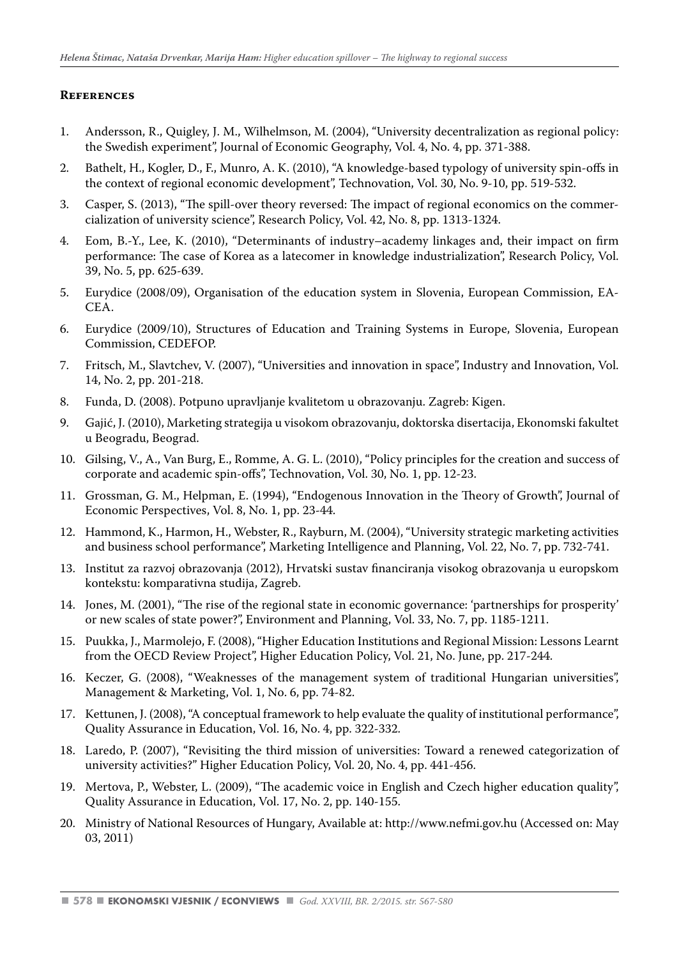# **References**

- 1. Andersson, R., Quigley, J. M., Wilhelmson, M. (2004), "University decentralization as regional policy: the Swedish experiment", Journal of Economic Geography, Vol. 4, No. 4, pp. 371-388.
- 2. Bathelt, H., Kogler, D., F., Munro, A. K. (2010), "A knowledge-based typology of university spin-offs in the context of regional economic development", Technovation, Vol. 30, No. 9-10, pp. 519-532.
- 3. Casper, S. (2013), "The spill-over theory reversed: The impact of regional economics on the commercialization of university science", Research Policy, Vol. 42, No. 8, pp. 1313-1324.
- 4. Eom, B.-Y., Lee, K. (2010), "Determinants of industry–academy linkages and, their impact on firm performance: The case of Korea as a latecomer in knowledge industrialization", Research Policy, Vol. 39, No. 5, pp. 625-639.
- 5. Eurydice (2008/09), Organisation of the education system in Slovenia, European Commission, EA-CEA.
- 6. Eurydice (2009/10), Structures of Education and Training Systems in Europe, Slovenia, European Commission, CEDEFOP.
- 7. Fritsch, M., Slavtchev, V. (2007), "Universities and innovation in space", Industry and Innovation, Vol. 14, No. 2, pp. 201-218.
- 8. Funda, D. (2008). Potpuno upravljanje kvalitetom u obrazovanju. Zagreb: Kigen.
- 9. Gajić, J. (2010), Marketing strategija u visokom obrazovanju, doktorska disertacija, Ekonomski fakultet u Beogradu, Beograd.
- 10. Gilsing, V., A., Van Burg, E., Romme, A. G. L. (2010), "Policy principles for the creation and success of corporate and academic spin-offs", Technovation, Vol. 30, No. 1, pp. 12-23.
- 11. Grossman, G. M., Helpman, E. (1994), "Endogenous Innovation in the Theory of Growth", Journal of Economic Perspectives, Vol. 8, No. 1, pp. 23-44.
- 12. Hammond, K., Harmon, H., Webster, R., Rayburn, M. (2004), "University strategic marketing activities and business school performance", Marketing Intelligence and Planning, Vol. 22, No. 7, pp. 732-741.
- 13. Institut za razvoj obrazovanja (2012), Hrvatski sustav financiranja visokog obrazovanja u europskom kontekstu: komparativna studija, Zagreb.
- 14. Jones, M. (2001), "The rise of the regional state in economic governance: 'partnerships for prosperity' or new scales of state power?", Environment and Planning, Vol. 33, No. 7, pp. 1185-1211.
- 15. Puukka, J., Marmolejo, F. (2008), "Higher Education Institutions and Regional Mission: Lessons Learnt from the OECD Review Project", Higher Education Policy, Vol. 21, No. June, pp. 217-244.
- 16. Keczer, G. (2008), "Weaknesses of the management system of traditional Hungarian universities", Management & Marketing, Vol. 1, No. 6, pp. 74-82.
- 17. Kettunen, J. (2008), "A conceptual framework to help evaluate the quality of institutional performance", Quality Assurance in Education, Vol. 16, No. 4, pp. 322-332.
- 18. Laredo, P. (2007), "Revisiting the third mission of universities: Toward a renewed categorization of university activities?" Higher Education Policy, Vol. 20, No. 4, pp. 441-456.
- 19. Mertova, P., Webster, L. (2009), "The academic voice in English and Czech higher education quality", Quality Assurance in Education, Vol. 17, No. 2, pp. 140-155.
- 20. Ministry of National Resources of Hungary, Available at: http://www.nefmi.gov.hu (Accessed on: May 03, 2011)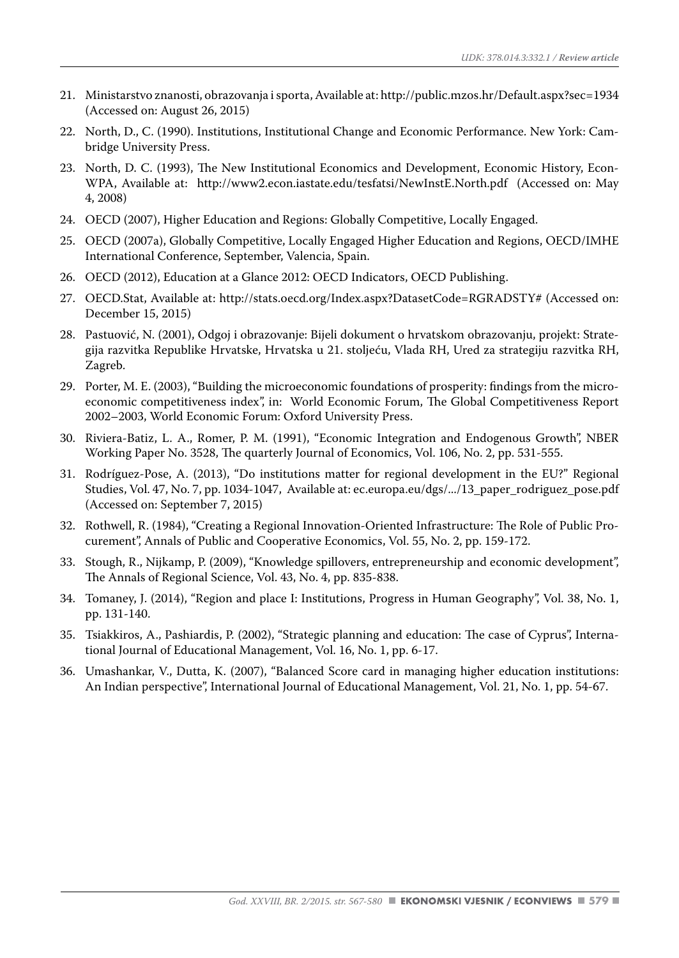- 21. Ministarstvo znanosti, obrazovanja i sporta, Available at: http://public.mzos.hr/Default.aspx?sec=1934 (Accessed on: August 26, 2015)
- 22. North, D., C. (1990). Institutions, Institutional Change and Economic Performance. New York: Cambridge University Press.
- 23. North, D. C. (1993), The New Institutional Economics and Development, Economic History, Econ-WPA, Available at: http://www2.econ.iastate.edu/tesfatsi/NewInstE.North.pdf (Accessed on: May 4, 2008)
- 24. OECD (2007), Higher Education and Regions: Globally Competitive, Locally Engaged.
- 25. OECD (2007a), Globally Competitive, Locally Engaged Higher Education and Regions, OECD/IMHE International Conference, September, Valencia, Spain.
- 26. OECD (2012), Education at a Glance 2012: OECD Indicators, OECD Publishing.
- 27. OECD.Stat, Available at: http://stats.oecd.org/Index.aspx?DatasetCode=RGRADSTY# (Accessed on: December 15, 2015)
- 28. Pastuović, N. (2001), Odgoj i obrazovanje: Bijeli dokument o hrvatskom obrazovanju, projekt: Strategija razvitka Republike Hrvatske, Hrvatska u 21. stoljeću, Vlada RH, Ured za strategiju razvitka RH, Zagreb.
- 29. Porter, M. E. (2003), "Building the microeconomic foundations of prosperity: findings from the microeconomic competitiveness index", in: World Economic Forum, The Global Competitiveness Report 2002–2003, World Economic Forum: Oxford University Press.
- 30. Riviera-Batiz, L. A., Romer, P. M. (1991), "Economic Integration and Endogenous Growth", NBER Working Paper No. 3528, The quarterly Journal of Economics, Vol. 106, No. 2, pp. 531-555.
- 31. Rodríguez-Pose, A. (2013), "Do institutions matter for regional development in the EU?" Regional Studies, Vol. 47, No. 7, pp. 1034-1047, Available at: ec.europa.eu/dgs/.../13\_paper\_rodriguez\_pose.pdf (Accessed on: September 7, 2015)
- 32. Rothwell, R. (1984), "Creating a Regional Innovation-Oriented Infrastructure: The Role of Public Procurement", Annals of Public and Cooperative Economics, Vol. 55, No. 2, pp. 159-172.
- 33. Stough, R., Nijkamp, P. (2009), "Knowledge spillovers, entrepreneurship and economic development", The Annals of Regional Science, Vol. 43, No. 4, pp. 835-838.
- 34. Tomaney, J. (2014), "Region and place I: Institutions, Progress in Human Geography", Vol. 38, No. 1, pp. 131-140.
- 35. Tsiakkiros, A., Pashiardis, P. (2002), "Strategic planning and education: The case of Cyprus", International Journal of Educational Management, Vol. 16, No. 1, pp. 6-17.
- 36. Umashankar, V., Dutta, K. (2007), "Balanced Score card in managing higher education institutions: An Indian perspective", International Journal of Educational Management, Vol. 21, No. 1, pp. 54-67.